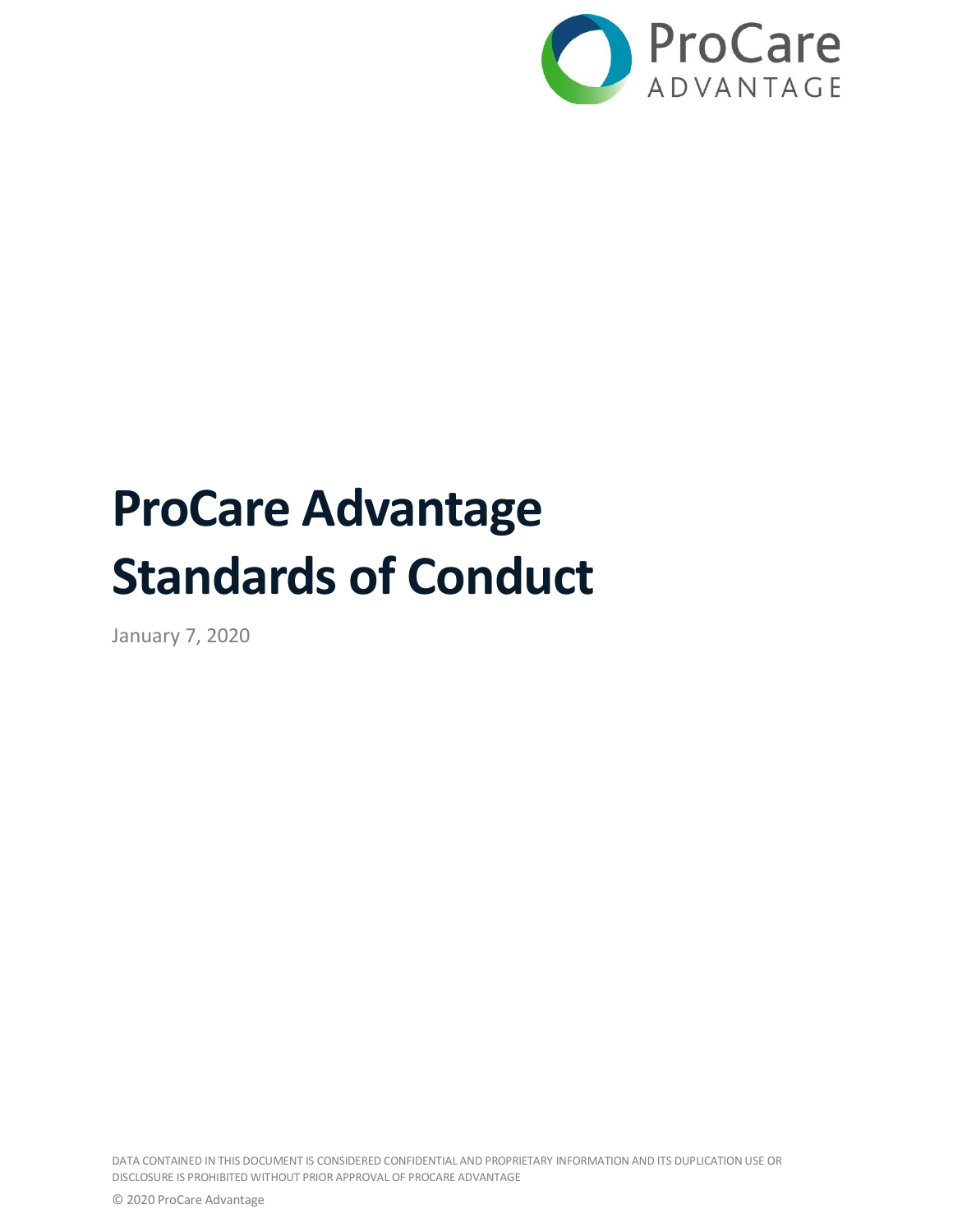

# **ProCare Advantage Standards of Conduct**

January 7, 2020

DATA CONTAINED IN THIS DOCUMENT IS CONSIDERED CONFIDENTIAL AND PROPRIETARY INFORMATION AND ITS DUPLICATION USE OR DISCLOSURE IS PROHIBITED WITHOUT PRIOR APPROVAL OF PROCARE ADVANTAGE

© 2020 ProCare Advantage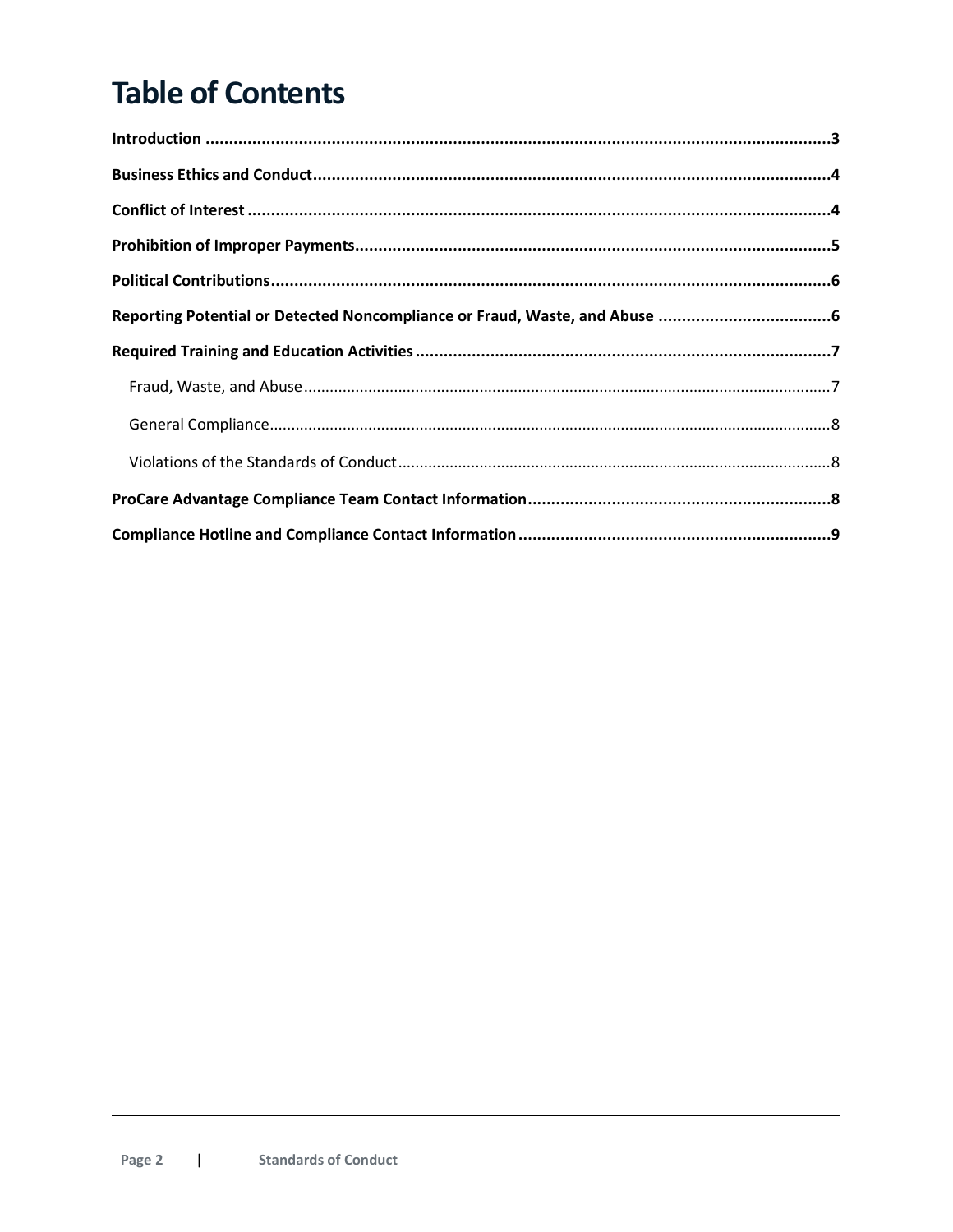# **Table of Contents**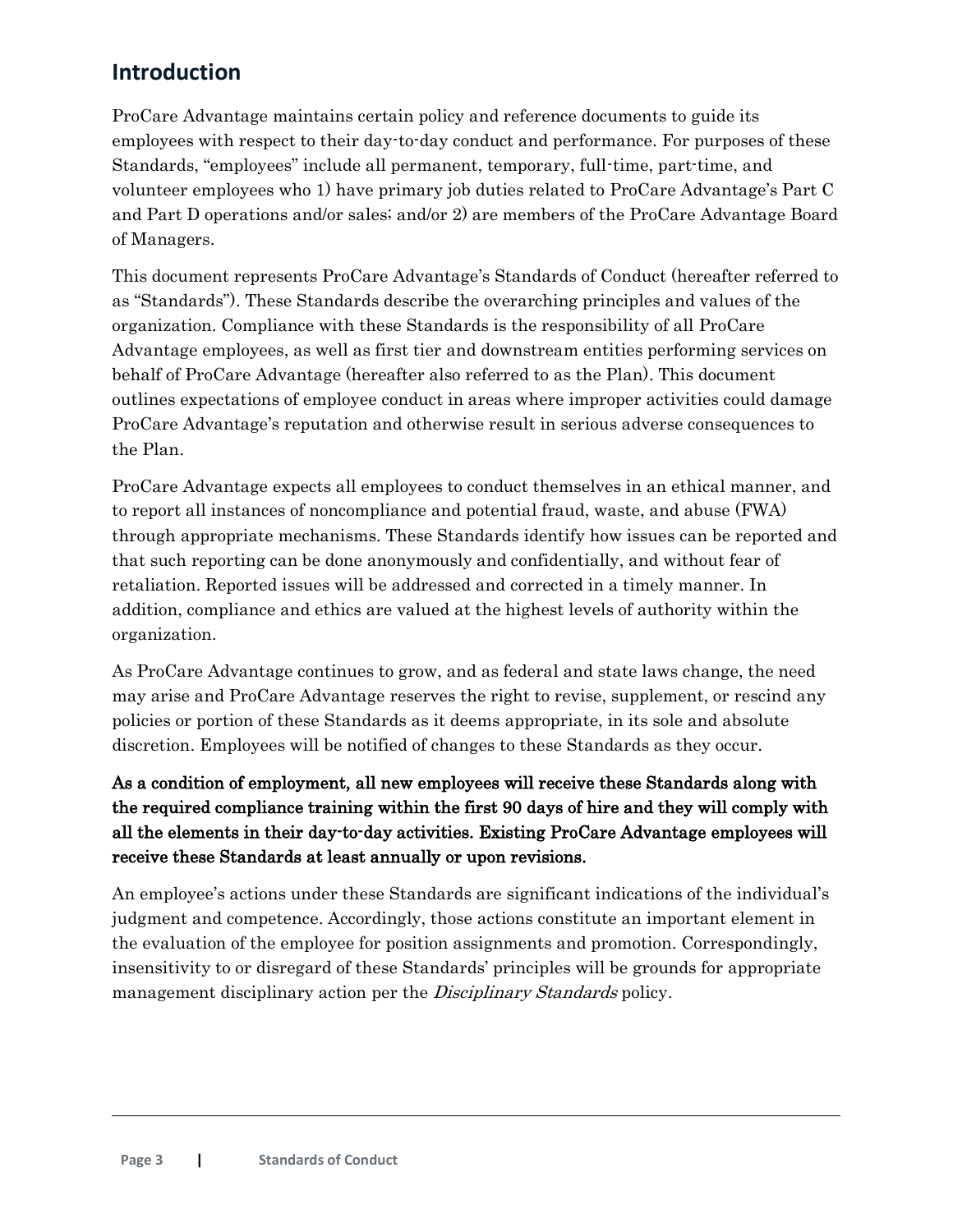# <span id="page-2-0"></span>**Introduction**

ProCare Advantage maintains certain policy and reference documents to guide its employees with respect to their day-to-day conduct and performance. For purposes of these Standards, "employees" include all permanent, temporary, full-time, part-time, and volunteer employees who 1) have primary job duties related to ProCare Advantage's Part C and Part D operations and/or sales; and/or 2) are members of the ProCare Advantage Board of Managers.

This document represents ProCare Advantage's Standards of Conduct (hereafter referred to as "Standards"). These Standards describe the overarching principles and values of the organization. Compliance with these Standards is the responsibility of all ProCare Advantage employees, as well as first tier and downstream entities performing services on behalf of ProCare Advantage (hereafter also referred to as the Plan). This document outlines expectations of employee conduct in areas where improper activities could damage ProCare Advantage's reputation and otherwise result in serious adverse consequences to the Plan.

ProCare Advantage expects all employees to conduct themselves in an ethical manner, and to report all instances of noncompliance and potential fraud, waste, and abuse (FWA) through appropriate mechanisms. These Standards identify how issues can be reported and that such reporting can be done anonymously and confidentially, and without fear of retaliation. Reported issues will be addressed and corrected in a timely manner. In addition, compliance and ethics are valued at the highest levels of authority within the organization.

As ProCare Advantage continues to grow, and as federal and state laws change, the need may arise and ProCare Advantage reserves the right to revise, supplement, or rescind any policies or portion of these Standards as it deems appropriate, in its sole and absolute discretion. Employees will be notified of changes to these Standards as they occur.

## As a condition of employment, all new employees will receive these Standards along with the required compliance training within the first 90 days of hire and they will comply with all the elements in their day-to-day activities. Existing ProCare Advantage employees will receive these Standards at least annually or upon revisions.

An employee's actions under these Standards are significant indications of the individual's judgment and competence. Accordingly, those actions constitute an important element in the evaluation of the employee for position assignments and promotion. Correspondingly, insensitivity to or disregard of these Standards' principles will be grounds for appropriate management disciplinary action per the *Disciplinary Standards* policy.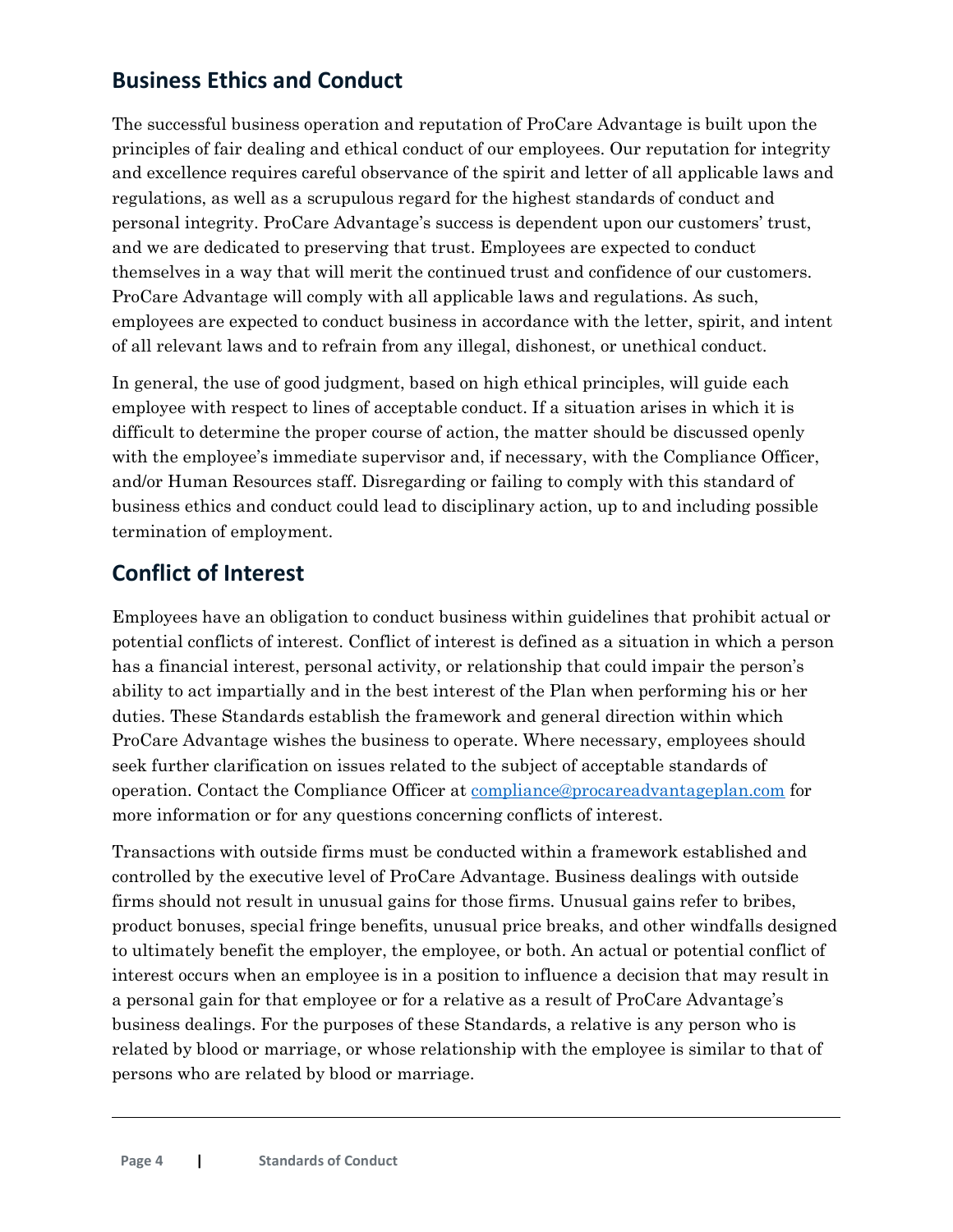# <span id="page-3-0"></span>**Business Ethics and Conduct**

The successful business operation and reputation of ProCare Advantage is built upon the principles of fair dealing and ethical conduct of our employees. Our reputation for integrity and excellence requires careful observance of the spirit and letter of all applicable laws and regulations, as well as a scrupulous regard for the highest standards of conduct and personal integrity. ProCare Advantage's success is dependent upon our customers' trust, and we are dedicated to preserving that trust. Employees are expected to conduct themselves in a way that will merit the continued trust and confidence of our customers. ProCare Advantage will comply with all applicable laws and regulations. As such, employees are expected to conduct business in accordance with the letter, spirit, and intent of all relevant laws and to refrain from any illegal, dishonest, or unethical conduct.

In general, the use of good judgment, based on high ethical principles, will guide each employee with respect to lines of acceptable conduct. If a situation arises in which it is difficult to determine the proper course of action, the matter should be discussed openly with the employee's immediate supervisor and, if necessary, with the Compliance Officer, and/or Human Resources staff. Disregarding or failing to comply with this standard of business ethics and conduct could lead to disciplinary action, up to and including possible termination of employment.

# <span id="page-3-1"></span>**Conflict of Interest**

Employees have an obligation to conduct business within guidelines that prohibit actual or potential conflicts of interest. Conflict of interest is defined as a situation in which a person has a financial interest, personal activity, or relationship that could impair the person's ability to act impartially and in the best interest of the Plan when performing his or her duties. These Standards establish the framework and general direction within which ProCare Advantage wishes the business to operate. Where necessary, employees should seek further clarification on issues related to the subject of acceptable standards of operation. Contact the Compliance Officer at [compliance@procareadvantageplan.com](mailto:compliance@procareadvantageplan.com) for more information or for any questions concerning conflicts of interest.

Transactions with outside firms must be conducted within a framework established and controlled by the executive level of ProCare Advantage. Business dealings with outside firms should not result in unusual gains for those firms. Unusual gains refer to bribes, product bonuses, special fringe benefits, unusual price breaks, and other windfalls designed to ultimately benefit the employer, the employee, or both. An actual or potential conflict of interest occurs when an employee is in a position to influence a decision that may result in a personal gain for that employee or for a relative as a result of ProCare Advantage's business dealings. For the purposes of these Standards, a relative is any person who is related by blood or marriage, or whose relationship with the employee is similar to that of persons who are related by blood or marriage.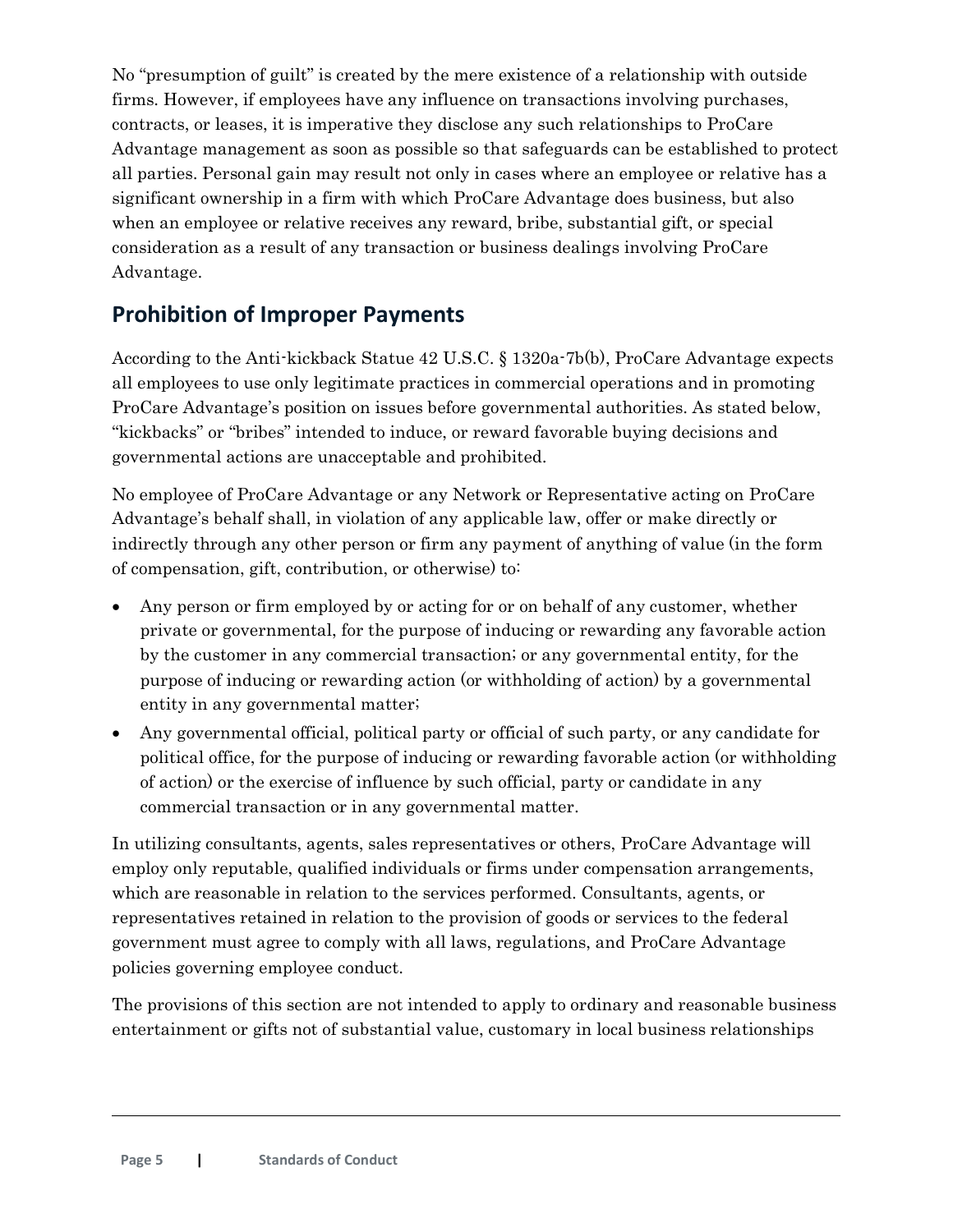No "presumption of guilt" is created by the mere existence of a relationship with outside firms. However, if employees have any influence on transactions involving purchases, contracts, or leases, it is imperative they disclose any such relationships to ProCare Advantage management as soon as possible so that safeguards can be established to protect all parties. Personal gain may result not only in cases where an employee or relative has a significant ownership in a firm with which ProCare Advantage does business, but also when an employee or relative receives any reward, bribe, substantial gift, or special consideration as a result of any transaction or business dealings involving ProCare Advantage.

# <span id="page-4-0"></span>**Prohibition of Improper Payments**

According to the Anti-kickback Statue 42 U.S.C. § 1320a-7b(b), ProCare Advantage expects all employees to use only legitimate practices in commercial operations and in promoting ProCare Advantage's position on issues before governmental authorities. As stated below, "kickbacks" or "bribes" intended to induce, or reward favorable buying decisions and governmental actions are unacceptable and prohibited.

No employee of ProCare Advantage or any Network or Representative acting on ProCare Advantage's behalf shall, in violation of any applicable law, offer or make directly or indirectly through any other person or firm any payment of anything of value (in the form of compensation, gift, contribution, or otherwise) to:

- Any person or firm employed by or acting for or on behalf of any customer, whether private or governmental, for the purpose of inducing or rewarding any favorable action by the customer in any commercial transaction; or any governmental entity, for the purpose of inducing or rewarding action (or withholding of action) by a governmental entity in any governmental matter;
- Any governmental official, political party or official of such party, or any candidate for political office, for the purpose of inducing or rewarding favorable action (or withholding of action) or the exercise of influence by such official, party or candidate in any commercial transaction or in any governmental matter.

In utilizing consultants, agents, sales representatives or others, ProCare Advantage will employ only reputable, qualified individuals or firms under compensation arrangements, which are reasonable in relation to the services performed. Consultants, agents, or representatives retained in relation to the provision of goods or services to the federal government must agree to comply with all laws, regulations, and ProCare Advantage policies governing employee conduct.

The provisions of this section are not intended to apply to ordinary and reasonable business entertainment or gifts not of substantial value, customary in local business relationships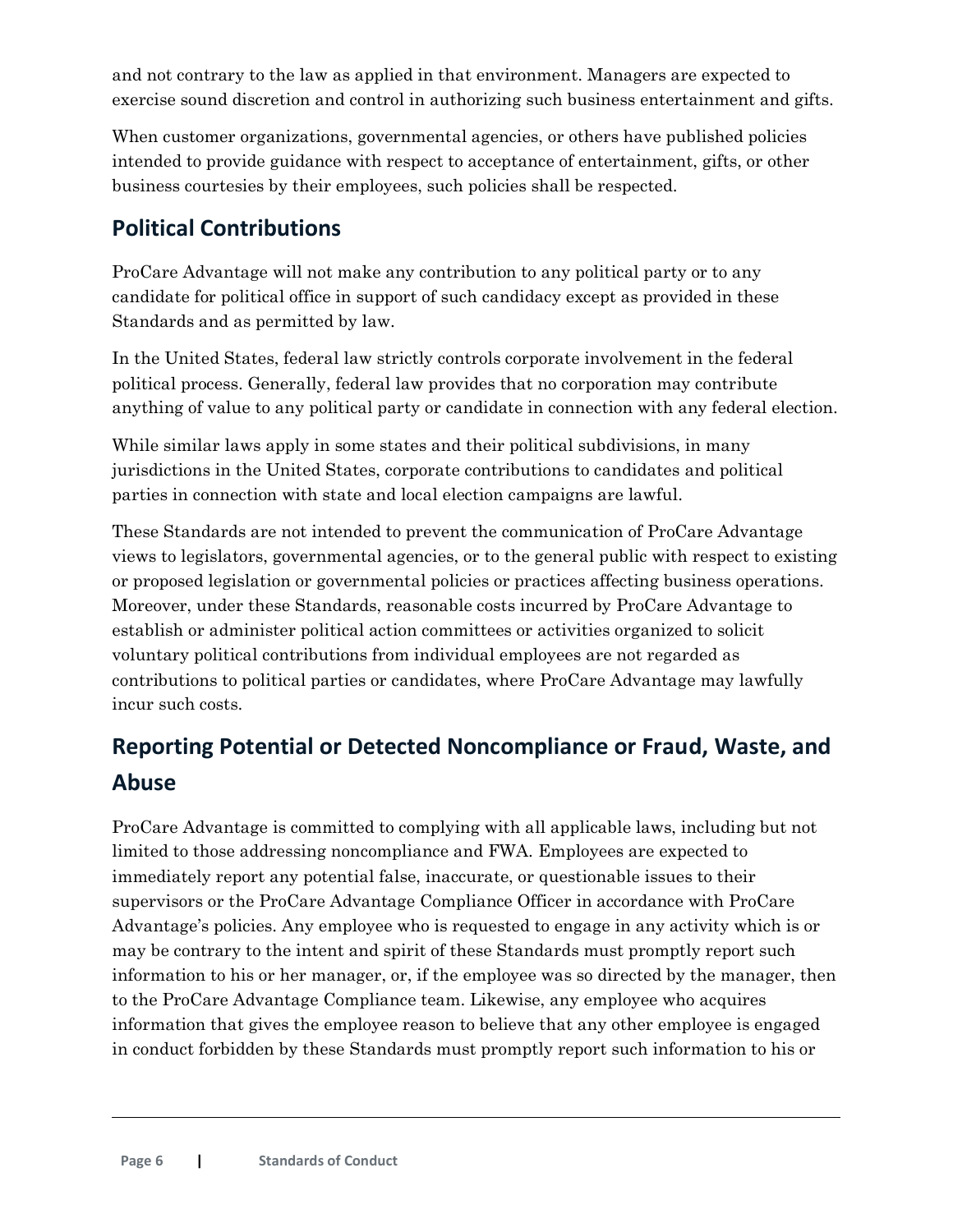and not contrary to the law as applied in that environment. Managers are expected to exercise sound discretion and control in authorizing such business entertainment and gifts.

When customer organizations, governmental agencies, or others have published policies intended to provide guidance with respect to acceptance of entertainment, gifts, or other business courtesies by their employees, such policies shall be respected.

# <span id="page-5-0"></span>**Political Contributions**

ProCare Advantage will not make any contribution to any political party or to any candidate for political office in support of such candidacy except as provided in these Standards and as permitted by law.

In the United States, federal law strictly controls corporate involvement in the federal political process. Generally, federal law provides that no corporation may contribute anything of value to any political party or candidate in connection with any federal election.

While similar laws apply in some states and their political subdivisions, in many jurisdictions in the United States, corporate contributions to candidates and political parties in connection with state and local election campaigns are lawful.

These Standards are not intended to prevent the communication of ProCare Advantage views to legislators, governmental agencies, or to the general public with respect to existing or proposed legislation or governmental policies or practices affecting business operations. Moreover, under these Standards, reasonable costs incurred by ProCare Advantage to establish or administer political action committees or activities organized to solicit voluntary political contributions from individual employees are not regarded as contributions to political parties or candidates, where ProCare Advantage may lawfully incur such costs.

# <span id="page-5-1"></span>**Reporting Potential or Detected Noncompliance or Fraud, Waste, and Abuse**

ProCare Advantage is committed to complying with all applicable laws, including but not limited to those addressing noncompliance and FWA. Employees are expected to immediately report any potential false, inaccurate, or questionable issues to their supervisors or the ProCare Advantage Compliance Officer in accordance with ProCare Advantage's policies. Any employee who is requested to engage in any activity which is or may be contrary to the intent and spirit of these Standards must promptly report such information to his or her manager, or, if the employee was so directed by the manager, then to the ProCare Advantage Compliance team. Likewise, any employee who acquires information that gives the employee reason to believe that any other employee is engaged in conduct forbidden by these Standards must promptly report such information to his or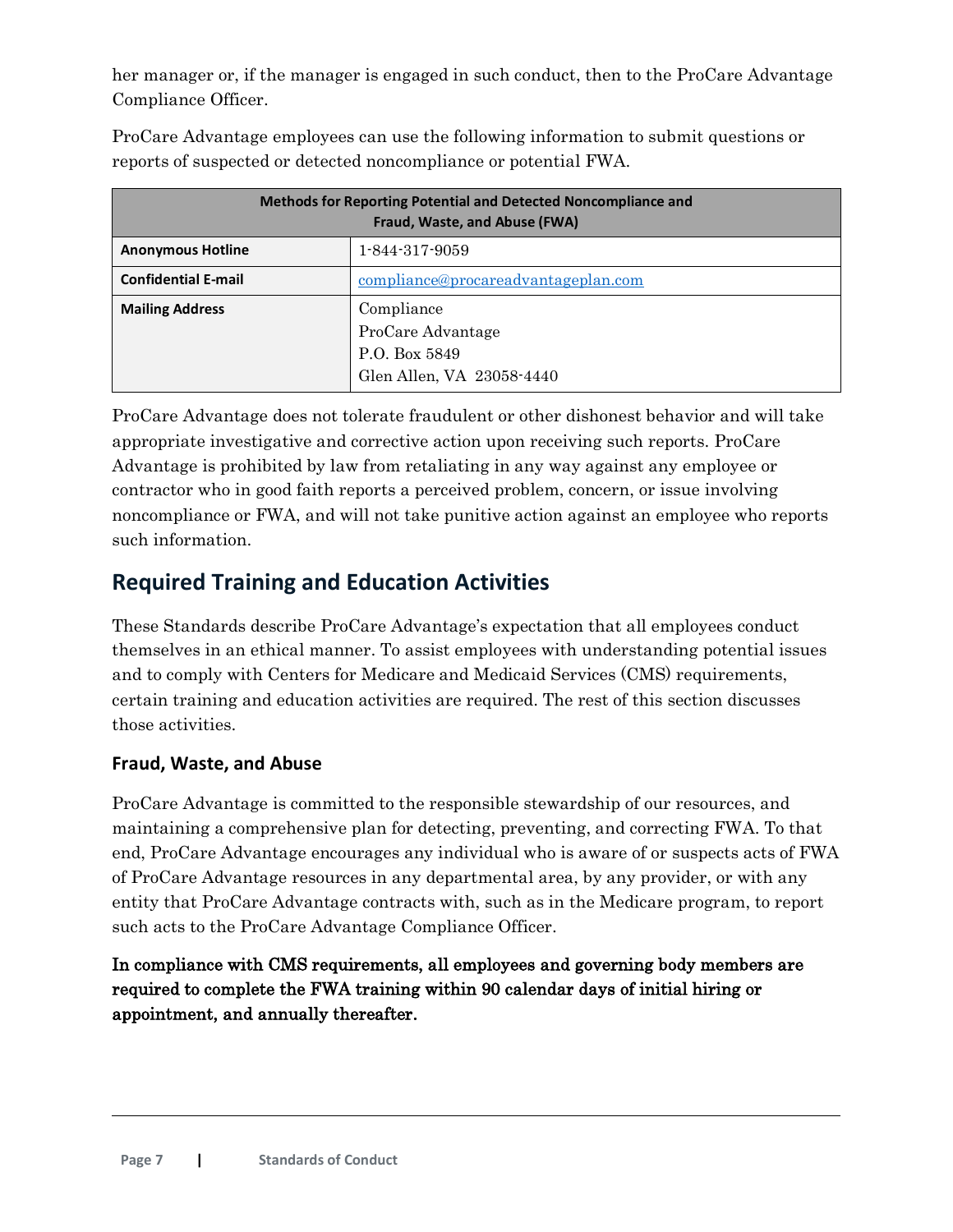her manager or, if the manager is engaged in such conduct, then to the ProCare Advantage Compliance Officer.

| <b>Methods for Reporting Potential and Detected Noncompliance and</b><br>Fraud, Waste, and Abuse (FWA) |                                                                               |  |
|--------------------------------------------------------------------------------------------------------|-------------------------------------------------------------------------------|--|
| <b>Anonymous Hotline</b>                                                                               | 1-844-317-9059                                                                |  |
| <b>Confidential E-mail</b>                                                                             | compliance@procareadvantageplan.com                                           |  |
| <b>Mailing Address</b>                                                                                 | Compliance<br>ProCare Advantage<br>P.O. Box 5849<br>Glen Allen, VA 23058-4440 |  |

ProCare Advantage employees can use the following information to submit questions or reports of suspected or detected noncompliance or potential FWA.

ProCare Advantage does not tolerate fraudulent or other dishonest behavior and will take appropriate investigative and corrective action upon receiving such reports. ProCare Advantage is prohibited by law from retaliating in any way against any employee or contractor who in good faith reports a perceived problem, concern, or issue involving noncompliance or FWA, and will not take punitive action against an employee who reports such information.

# <span id="page-6-0"></span>**Required Training and Education Activities**

These Standards describe ProCare Advantage's expectation that all employees conduct themselves in an ethical manner. To assist employees with understanding potential issues and to comply with Centers for Medicare and Medicaid Services (CMS) requirements, certain training and education activities are required. The rest of this section discusses those activities.

### <span id="page-6-1"></span>**Fraud, Waste, and Abuse**

ProCare Advantage is committed to the responsible stewardship of our resources, and maintaining a comprehensive plan for detecting, preventing, and correcting FWA. To that end, ProCare Advantage encourages any individual who is aware of or suspects acts of FWA of ProCare Advantage resources in any departmental area, by any provider, or with any entity that ProCare Advantage contracts with, such as in the Medicare program, to report such acts to the ProCare Advantage Compliance Officer.

In compliance with CMS requirements, all employees and governing body members are required to complete the FWA training within 90 calendar days of initial hiring or appointment, and annually thereafter.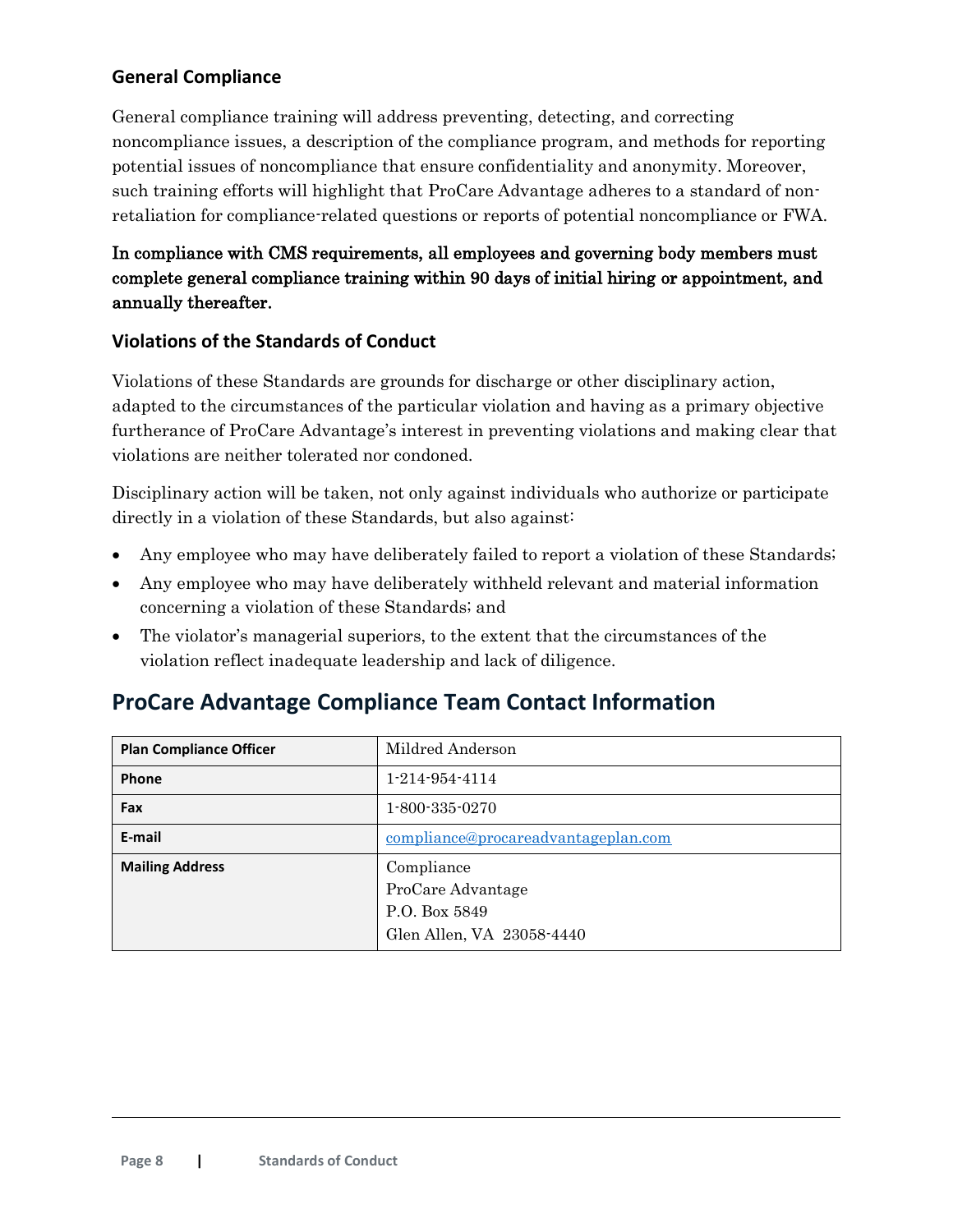## <span id="page-7-0"></span>**General Compliance**

General compliance training will address preventing, detecting, and correcting noncompliance issues, a description of the compliance program, and methods for reporting potential issues of noncompliance that ensure confidentiality and anonymity. Moreover, such training efforts will highlight that ProCare Advantage adheres to a standard of nonretaliation for compliance-related questions or reports of potential noncompliance or FWA.

## In compliance with CMS requirements, all employees and governing body members must complete general compliance training within 90 days of initial hiring or appointment, and annually thereafter.

### <span id="page-7-1"></span>**Violations of the Standards of Conduct**

Violations of these Standards are grounds for discharge or other disciplinary action, adapted to the circumstances of the particular violation and having as a primary objective furtherance of ProCare Advantage's interest in preventing violations and making clear that violations are neither tolerated nor condoned.

Disciplinary action will be taken, not only against individuals who authorize or participate directly in a violation of these Standards, but also against:

- Any employee who may have deliberately failed to report a violation of these Standards;
- Any employee who may have deliberately withheld relevant and material information concerning a violation of these Standards; and
- The violator's managerial superiors, to the extent that the circumstances of the violation reflect inadequate leadership and lack of diligence.

## <span id="page-7-2"></span>**ProCare Advantage Compliance Team Contact Information**

| <b>Plan Compliance Officer</b> | Mildred Anderson                                                              |
|--------------------------------|-------------------------------------------------------------------------------|
| Phone                          | $1 - 214 - 954 - 4114$                                                        |
| Fax                            | $1 - 800 - 335 - 0270$                                                        |
| E-mail                         | compliance@procareadvantageplan.com                                           |
| <b>Mailing Address</b>         | Compliance<br>ProCare Advantage<br>P.O. Box 5849<br>Glen Allen, VA 23058-4440 |